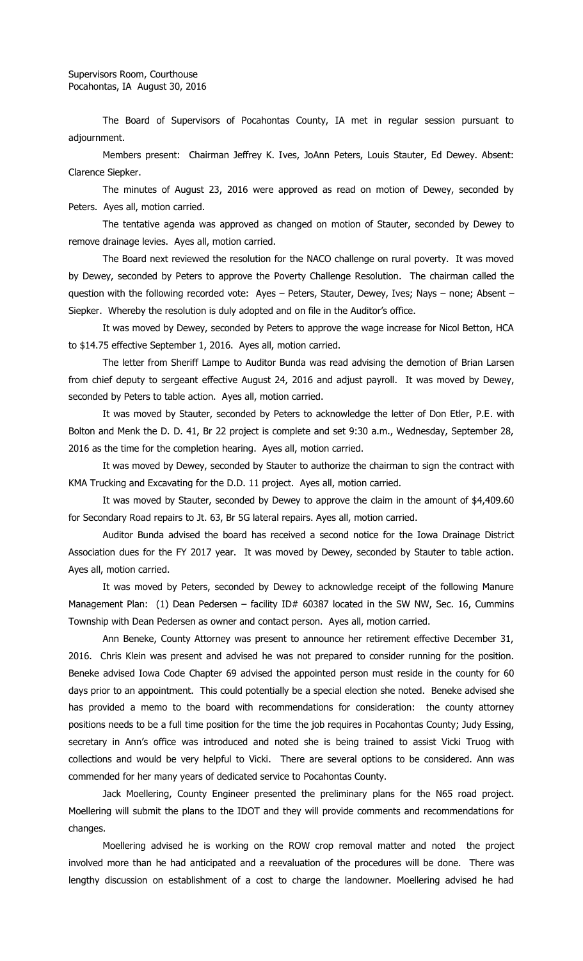The Board of Supervisors of Pocahontas County, IA met in regular session pursuant to adjournment.

Members present: Chairman Jeffrey K. Ives, JoAnn Peters, Louis Stauter, Ed Dewey. Absent: Clarence Siepker.

The minutes of August 23, 2016 were approved as read on motion of Dewey, seconded by Peters. Ayes all, motion carried.

The tentative agenda was approved as changed on motion of Stauter, seconded by Dewey to remove drainage levies. Ayes all, motion carried.

The Board next reviewed the resolution for the NACO challenge on rural poverty. It was moved by Dewey, seconded by Peters to approve the Poverty Challenge Resolution. The chairman called the question with the following recorded vote: Ayes – Peters, Stauter, Dewey, Ives; Nays – none; Absent – Siepker. Whereby the resolution is duly adopted and on file in the Auditor's office.

It was moved by Dewey, seconded by Peters to approve the wage increase for Nicol Betton, HCA to \$14.75 effective September 1, 2016. Ayes all, motion carried.

The letter from Sheriff Lampe to Auditor Bunda was read advising the demotion of Brian Larsen from chief deputy to sergeant effective August 24, 2016 and adjust payroll. It was moved by Dewey, seconded by Peters to table action. Ayes all, motion carried.

It was moved by Stauter, seconded by Peters to acknowledge the letter of Don Etler, P.E. with Bolton and Menk the D. D. 41, Br 22 project is complete and set 9:30 a.m., Wednesday, September 28, 2016 as the time for the completion hearing. Ayes all, motion carried.

It was moved by Dewey, seconded by Stauter to authorize the chairman to sign the contract with KMA Trucking and Excavating for the D.D. 11 project. Ayes all, motion carried.

It was moved by Stauter, seconded by Dewey to approve the claim in the amount of \$4,409.60 for Secondary Road repairs to Jt. 63, Br 5G lateral repairs. Ayes all, motion carried.

Auditor Bunda advised the board has received a second notice for the Iowa Drainage District Association dues for the FY 2017 year. It was moved by Dewey, seconded by Stauter to table action. Ayes all, motion carried.

It was moved by Peters, seconded by Dewey to acknowledge receipt of the following Manure Management Plan: (1) Dean Pedersen - facility ID# 60387 located in the SW NW, Sec. 16, Cummins Township with Dean Pedersen as owner and contact person. Ayes all, motion carried.

Ann Beneke, County Attorney was present to announce her retirement effective December 31, 2016. Chris Klein was present and advised he was not prepared to consider running for the position. Beneke advised Iowa Code Chapter 69 advised the appointed person must reside in the county for 60 days prior to an appointment. This could potentially be a special election she noted. Beneke advised she has provided a memo to the board with recommendations for consideration: the county attorney positions needs to be a full time position for the time the job requires in Pocahontas County; Judy Essing, secretary in Ann's office was introduced and noted she is being trained to assist Vicki Truog with collections and would be very helpful to Vicki. There are several options to be considered. Ann was commended for her many years of dedicated service to Pocahontas County.

Jack Moellering, County Engineer presented the preliminary plans for the N65 road project. Moellering will submit the plans to the IDOT and they will provide comments and recommendations for changes.

Moellering advised he is working on the ROW crop removal matter and noted the project involved more than he had anticipated and a reevaluation of the procedures will be done. There was lengthy discussion on establishment of a cost to charge the landowner. Moellering advised he had